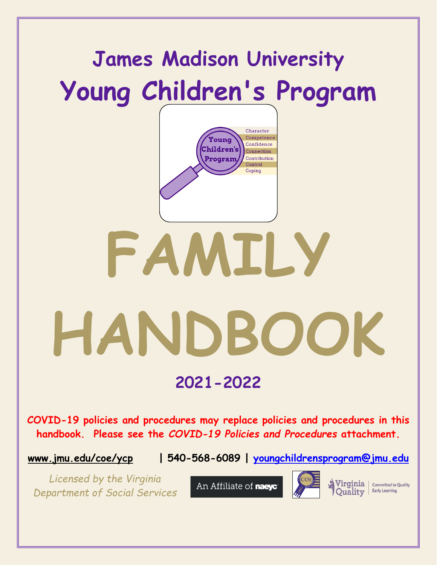

**[www.jmu.edu/coe/ycp](http://www.jmu.edu/coe/ycp) | 540-568-6089 | [youngchildrensprogram@jmu.edu](mailto:youngchildrensprogram@jmu.edu)**

*Licensed by the Virginia Department of Social Services*

An Affiliate of naeyc



Virginia | Committed to Quality **Early Learning Ouality**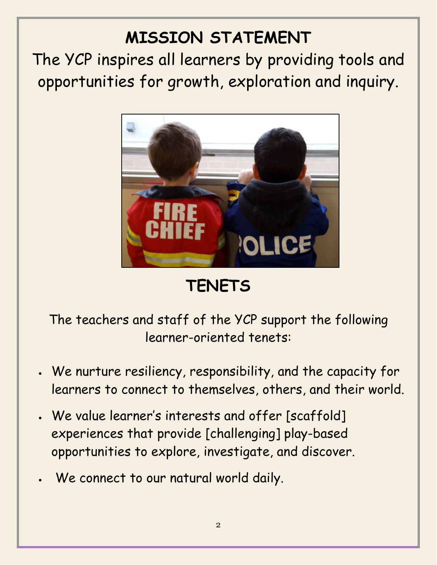# **MISSION STATEMENT**

The YCP inspires all learners by providing tools and opportunities for growth, exploration and inquiry.



**TENETS**

The teachers and staff of the YCP support the following learner-oriented tenets:

- We nurture resiliency, responsibility, and the capacity for learners to connect to themselves, others, and their world.
- We value learner's interests and offer [scaffold] experiences that provide [challenging] play-based opportunities to explore, investigate, and discover.
- We connect to our natural world daily.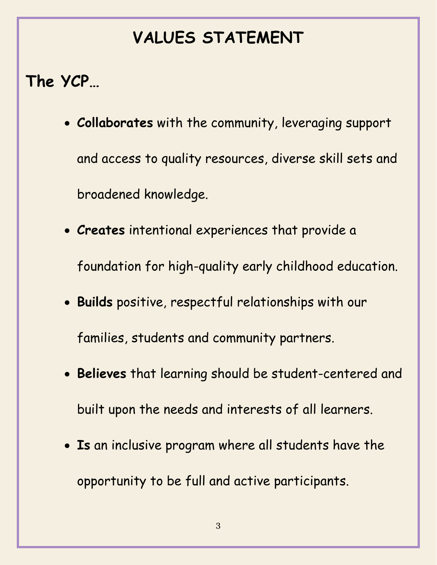# **VALUES STATEMENT**

# **The YCP…**

- **Collaborates** with the community, leveraging support and access to quality resources, diverse skill sets and broadened knowledge.
- **Creates** intentional experiences that provide a foundation for high-quality early childhood education.
- **Builds** positive, respectful relationships with our families, students and community partners.
- **Believes** that learning should be student-centered and built upon the needs and interests of all learners.
- **Is** an inclusive program where all students have the opportunity to be full and active participants.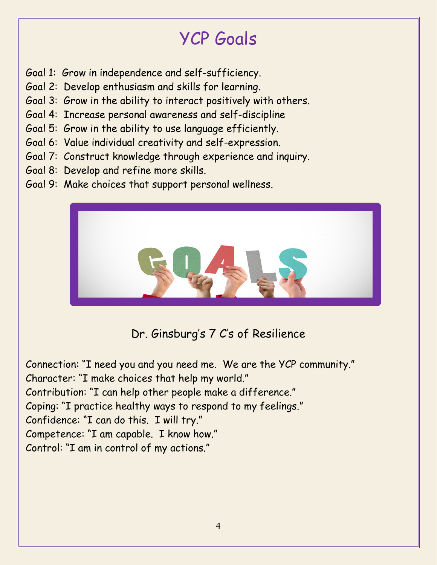# YCP Goals

- Goal 1: Grow in independence and self-sufficiency.
- Goal 2: Develop enthusiasm and skills for learning.
- Goal 3: Grow in the ability to interact positively with others.
- Goal 4: Increase personal awareness and self-discipline
- Goal 5: Grow in the ability to use language efficiently.
- Goal 6: Value individual creativity and self-expression.
- Goal 7: Construct knowledge through experience and inquiry.
- Goal 8: Develop and refine more skills.
- Goal 9: Make choices that support personal wellness.



Dr. Ginsburg's 7 C's of Resilience

Connection: "I need you and you need me. We are the YCP community." Character: "I make choices that help my world." Contribution: "I can help other people make a difference." Coping: "I practice healthy ways to respond to my feelings." Confidence: "I can do this. I will try." Competence: "I am capable. I know how." Control: "I am in control of my actions."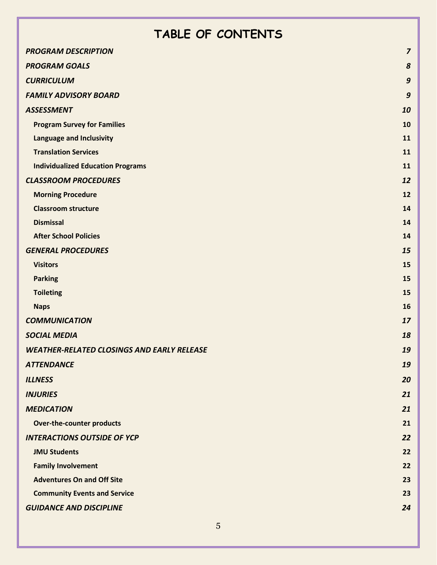# **TABLE OF CONTENTS**

| <b>PROGRAM DESCRIPTION</b>                        | $\overline{z}$   |
|---------------------------------------------------|------------------|
| <b>PROGRAM GOALS</b>                              | 8                |
| <b>CURRICULUM</b>                                 | $\boldsymbol{9}$ |
| <b>FAMILY ADVISORY BOARD</b>                      | $\boldsymbol{9}$ |
| <b>ASSESSMENT</b>                                 | 10               |
| <b>Program Survey for Families</b>                | 10               |
| <b>Language and Inclusivity</b>                   | 11               |
| <b>Translation Services</b>                       | 11               |
| <b>Individualized Education Programs</b>          | 11               |
| <b>CLASSROOM PROCEDURES</b>                       | 12               |
| <b>Morning Procedure</b>                          | 12               |
| <b>Classroom structure</b>                        | 14               |
| <b>Dismissal</b>                                  | 14               |
| <b>After School Policies</b>                      | 14               |
| <b>GENERAL PROCEDURES</b>                         | 15               |
| <b>Visitors</b>                                   | 15               |
| <b>Parking</b>                                    | 15               |
| <b>Toileting</b>                                  | 15               |
| <b>Naps</b>                                       | 16               |
| <b>COMMUNICATION</b>                              | 17               |
| <b>SOCIAL MEDIA</b>                               | 18               |
| <b>WEATHER-RELATED CLOSINGS AND EARLY RELEASE</b> | 19               |
| <b>ATTENDANCE</b>                                 | 19               |
| <b>ILLNESS</b>                                    | 20               |
| <b>INJURIES</b>                                   | 21               |
| <b>MEDICATION</b>                                 | 21               |
| <b>Over-the-counter products</b>                  | 21               |
| <b>INTERACTIONS OUTSIDE OF YCP</b>                | 22               |
| <b>JMU Students</b>                               | 22               |
| <b>Family Involvement</b>                         | 22               |
| <b>Adventures On and Off Site</b>                 | 23               |
| <b>Community Events and Service</b>               | 23               |
| <b>GUIDANCE AND DISCIPLINE</b>                    | 24               |
|                                                   |                  |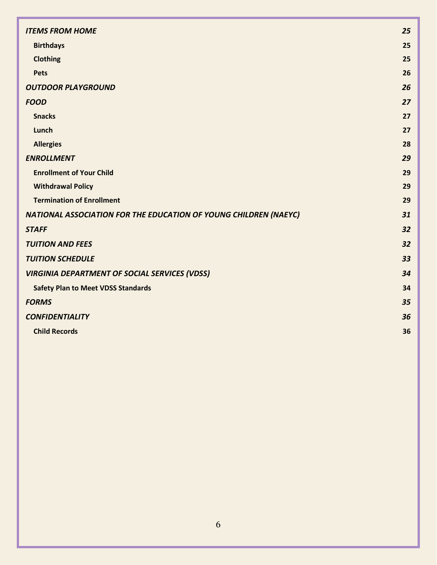| <b>ITEMS FROM HOME</b>                                           | 25 |
|------------------------------------------------------------------|----|
| <b>Birthdays</b>                                                 | 25 |
| <b>Clothing</b>                                                  | 25 |
| <b>Pets</b>                                                      | 26 |
| <b>OUTDOOR PLAYGROUND</b>                                        | 26 |
| <b>FOOD</b>                                                      | 27 |
| <b>Snacks</b>                                                    | 27 |
| Lunch                                                            | 27 |
| <b>Allergies</b>                                                 | 28 |
| <b>ENROLLMENT</b>                                                | 29 |
| <b>Enrollment of Your Child</b>                                  | 29 |
| <b>Withdrawal Policy</b>                                         | 29 |
| <b>Termination of Enrollment</b>                                 | 29 |
| NATIONAL ASSOCIATION FOR THE EDUCATION OF YOUNG CHILDREN (NAEYC) | 31 |
| <b>STAFF</b>                                                     | 32 |
| <b>TUITION AND FEES</b>                                          | 32 |
| <b>TUITION SCHEDULE</b>                                          | 33 |
| <b>VIRGINIA DEPARTMENT OF SOCIAL SERVICES (VDSS)</b>             | 34 |
| <b>Safety Plan to Meet VDSS Standards</b>                        | 34 |
| <b>FORMS</b>                                                     | 35 |
| <b>CONFIDENTIALITY</b>                                           | 36 |
| <b>Child Records</b>                                             | 36 |
|                                                                  |    |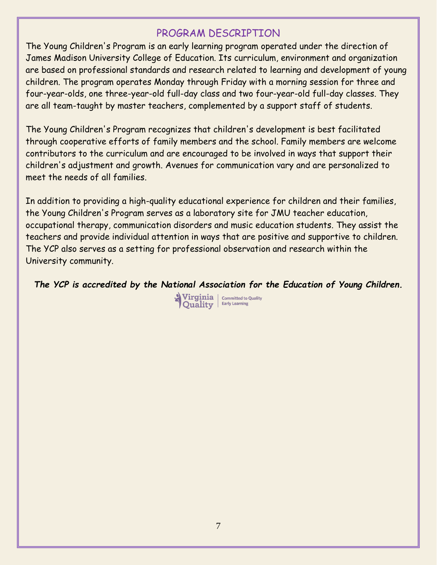#### PROGRAM DESCRIPTION

<span id="page-6-0"></span>The Young Children's Program is an early learning program operated under the direction of James Madison University College of Education. Its curriculum, environment and organization are based on professional standards and research related to learning and development of young children. The program operates Monday through Friday with a morning session for three and four-year-olds, one three-year-old full-day class and two four-year-old full-day classes. They are all team-taught by master teachers, complemented by a support staff of students.

The Young Children's Program recognizes that children's development is best facilitated through cooperative efforts of family members and the school. Family members are welcome contributors to the curriculum and are encouraged to be involved in ways that support their children's adjustment and growth. Avenues for communication vary and are personalized to meet the needs of all families.

In addition to providing a high-quality educational experience for children and their families, the Young Children's Program serves as a laboratory site for JMU teacher education, occupational therapy, communication disorders and music education students. They assist the teachers and provide individual attention in ways that are positive and supportive to children. The YCP also serves as a setting for professional observation and research within the University community.

*The YCP is accredited by the National Association for the Education of Young Children.*

Virginia | committed to Quality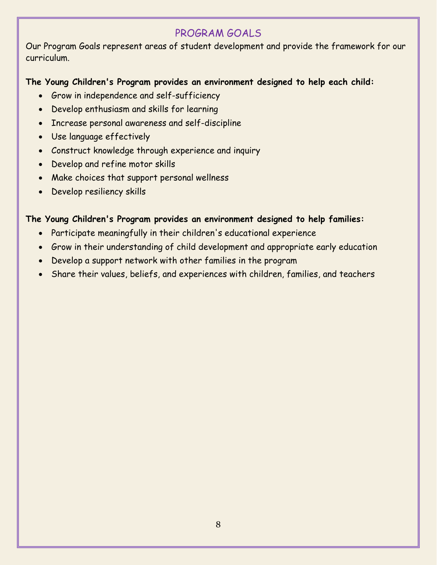# PROGRAM GOALS

<span id="page-7-0"></span>Our Program Goals represent areas of student development and provide the framework for our curriculum.

#### **The Young Children's Program provides an environment designed to help each child:**

- Grow in independence and self-sufficiency
- Develop enthusiasm and skills for learning
- Increase personal awareness and self-discipline
- Use language effectively
- Construct knowledge through experience and inquiry
- Develop and refine motor skills
- Make choices that support personal wellness
- Develop resiliency skills

#### **The Young Children's Program provides an environment designed to help families:**

- Participate meaningfully in their children's educational experience
- Grow in their understanding of child development and appropriate early education
- Develop a support network with other families in the program
- Share their values, beliefs, and experiences with children, families, and teachers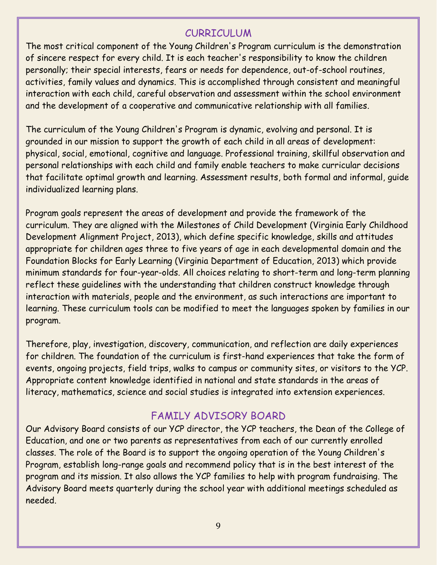#### CURRICULUM

<span id="page-8-0"></span>The most critical component of the Young Children's Program curriculum is the demonstration of sincere respect for every child. It is each teacher's responsibility to know the children personally; their special interests, fears or needs for dependence, out-of-school routines, activities, family values and dynamics. This is accomplished through consistent and meaningful interaction with each child, careful observation and assessment within the school environment and the development of a cooperative and communicative relationship with all families.

The curriculum of the Young Children's Program is dynamic, evolving and personal. It is grounded in our mission to support the growth of each child in all areas of development: physical, social, emotional, cognitive and language. Professional training, skillful observation and personal relationships with each child and family enable teachers to make curricular decisions that facilitate optimal growth and learning. Assessment results, both formal and informal, guide individualized learning plans.

Program goals represent the areas of development and provide the framework of the curriculum. They are aligned with the Milestones of Child Development (Virginia Early Childhood Development Alignment Project, 2013), which define specific knowledge, skills and attitudes appropriate for children ages three to five years of age in each developmental domain and the Foundation Blocks for Early Learning (Virginia Department of Education, 2013) which provide minimum standards for four-year-olds. All choices relating to short-term and long-term planning reflect these guidelines with the understanding that children construct knowledge through interaction with materials, people and the environment, as such interactions are important to learning. These curriculum tools can be modified to meet the languages spoken by families in our program.

Therefore, play, investigation, discovery, communication, and reflection are daily experiences for children. The foundation of the curriculum is first-hand experiences that take the form of events, ongoing projects, field trips, walks to campus or community sites, or visitors to the YCP. Appropriate content knowledge identified in national and state standards in the areas of literacy, mathematics, science and social studies is integrated into extension experiences.

#### FAMILY ADVISORY BOARD

<span id="page-8-1"></span>Our Advisory Board consists of our YCP director, the YCP teachers, the Dean of the College of Education, and one or two parents as representatives from each of our currently enrolled classes. The role of the Board is to support the ongoing operation of the Young Children's Program, establish long-range goals and recommend policy that is in the best interest of the program and its mission. It also allows the YCP families to help with program fundraising. The Advisory Board meets quarterly during the school year with additional meetings scheduled as needed.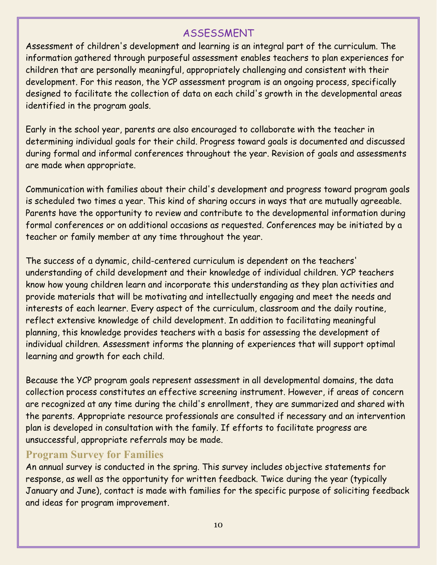#### ASSESSMENT

<span id="page-9-0"></span>Assessment of children's development and learning is an integral part of the curriculum. The information gathered through purposeful assessment enables teachers to plan experiences for children that are personally meaningful, appropriately challenging and consistent with their development. For this reason, the YCP assessment program is an ongoing process, specifically designed to facilitate the collection of data on each child's growth in the developmental areas identified in the program goals.

Early in the school year, parents are also encouraged to collaborate with the teacher in determining individual goals for their child. Progress toward goals is documented and discussed during formal and informal conferences throughout the year. Revision of goals and assessments are made when appropriate.

Communication with families about their child's development and progress toward program goals is scheduled two times a year. This kind of sharing occurs in ways that are mutually agreeable. Parents have the opportunity to review and contribute to the developmental information during formal conferences or on additional occasions as requested. Conferences may be initiated by a teacher or family member at any time throughout the year.

The success of a dynamic, child-centered curriculum is dependent on the teachers' understanding of child development and their knowledge of individual children. YCP teachers know how young children learn and incorporate this understanding as they plan activities and provide materials that will be motivating and intellectually engaging and meet the needs and interests of each learner. Every aspect of the curriculum, classroom and the daily routine, reflect extensive knowledge of child development. In addition to facilitating meaningful planning, this knowledge provides teachers with a basis for assessing the development of individual children. Assessment informs the planning of experiences that will support optimal learning and growth for each child.

Because the YCP program goals represent assessment in all developmental domains, the data collection process constitutes an effective screening instrument. However, if areas of concern are recognized at any time during the child's enrollment, they are summarized and shared with the parents. Appropriate resource professionals are consulted if necessary and an intervention plan is developed in consultation with the family. If efforts to facilitate progress are unsuccessful, appropriate referrals may be made.

#### <span id="page-9-1"></span>**Program Survey for Families**

An annual survey is conducted in the spring. This survey includes objective statements for response, as well as the opportunity for written feedback. Twice during the year (typically January and June), contact is made with families for the specific purpose of soliciting feedback and ideas for program improvement.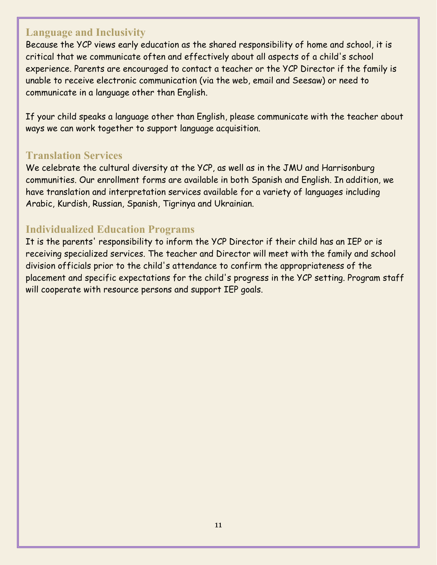#### <span id="page-10-0"></span>**Language and Inclusivity**

Because the YCP views early education as the shared responsibility of home and school, it is critical that we communicate often and effectively about all aspects of a child's school experience. Parents are encouraged to contact a teacher or the YCP Director if the family is unable to receive electronic communication (via the web, email and Seesaw) or need to communicate in a language other than English.

If your child speaks a language other than English, please communicate with the teacher about ways we can work together to support language acquisition.

#### <span id="page-10-1"></span>**Translation Services**

We celebrate the cultural diversity at the YCP, as well as in the JMU and Harrisonburg communities. Our enrollment forms are available in both Spanish and English. In addition, we have translation and interpretation services available for a variety of languages including Arabic, Kurdish, Russian, Spanish, Tigrinya and Ukrainian.

#### <span id="page-10-2"></span>**Individualized Education Programs**

It is the parents' responsibility to inform the YCP Director if their child has an IEP or is receiving specialized services. The teacher and Director will meet with the family and school division officials prior to the child's attendance to confirm the appropriateness of the placement and specific expectations for the child's progress in the YCP setting. Program staff will cooperate with resource persons and support IEP goals.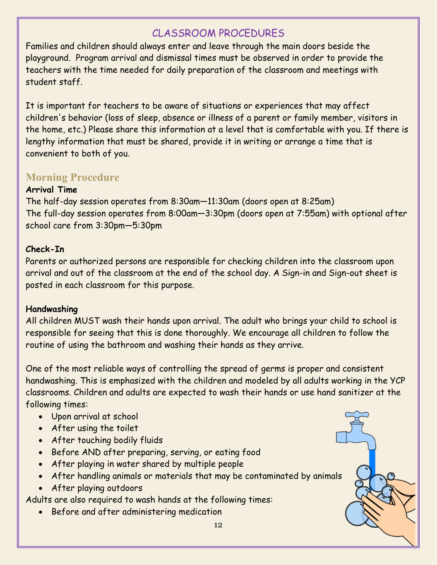# CLASSROOM PROCEDURES

<span id="page-11-0"></span>Families and children should always enter and leave through the main doors beside the playground. Program arrival and dismissal times must be observed in order to provide the teachers with the time needed for daily preparation of the classroom and meetings with student staff.

It is important for teachers to be aware of situations or experiences that may affect children's behavior (loss of sleep, absence or illness of a parent or family member, visitors in the home, etc.) Please share this information at a level that is comfortable with you. If there is lengthy information that must be shared, provide it in writing or arrange a time that is convenient to both of you.

# <span id="page-11-1"></span>**Morning Procedure**

#### **Arrival Time**

The half-day session operates from 8:30am—11:30am (doors open at 8:25am) The full-day session operates from 8:00am—3:30pm (doors open at 7:55am) with optional after school care from 3:30pm—5:30pm

#### **Check-In**

Parents or authorized persons are responsible for checking children into the classroom upon arrival and out of the classroom at the end of the school day. A Sign-in and Sign-out sheet is posted in each classroom for this purpose.

#### **Handwashing**

All children MUST wash their hands upon arrival. The adult who brings your child to school is responsible for seeing that this is done thoroughly. We encourage all children to follow the routine of using the bathroom and washing their hands as they arrive.

One of the most reliable ways of controlling the spread of germs is proper and consistent handwashing. This is emphasized with the children and modeled by all adults working in the YCP classrooms. Children and adults are expected to wash their hands or use hand sanitizer at the following times:

- Upon arrival at school
- After using the toilet
- After touching bodily fluids
- Before AND after preparing, serving, or eating food
- After playing in water shared by multiple people
- After handling animals or materials that may be contaminated by animals
- After playing outdoors

Adults are also required to wash hands at the following times:

• Before and after administering medication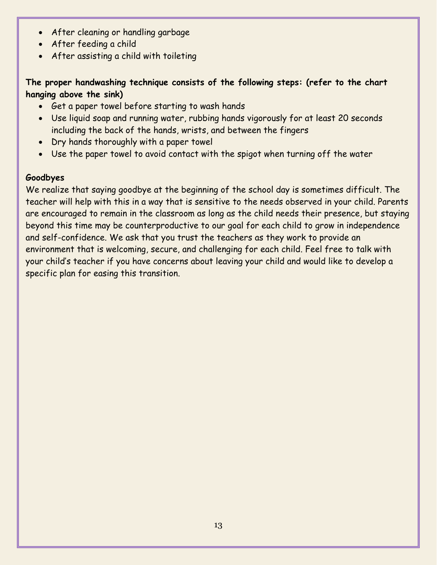- After cleaning or handling garbage
- After feeding a child
- After assisting a child with toileting

#### **The proper handwashing technique consists of the following steps: (refer to the chart hanging above the sink)**

- Get a paper towel before starting to wash hands
- Use liquid soap and running water, rubbing hands vigorously for at least 20 seconds including the back of the hands, wrists, and between the fingers
- Dry hands thoroughly with a paper towel
- Use the paper towel to avoid contact with the spigot when turning off the water

#### **Goodbyes**

We realize that saying goodbye at the beginning of the school day is sometimes difficult. The teacher will help with this in a way that is sensitive to the needs observed in your child. Parents are encouraged to remain in the classroom as long as the child needs their presence, but staying beyond this time may be counterproductive to our goal for each child to grow in independence and self-confidence. We ask that you trust the teachers as they work to provide an environment that is welcoming, secure, and challenging for each child. Feel free to talk with your child's teacher if you have concerns about leaving your child and would like to develop a specific plan for easing this transition.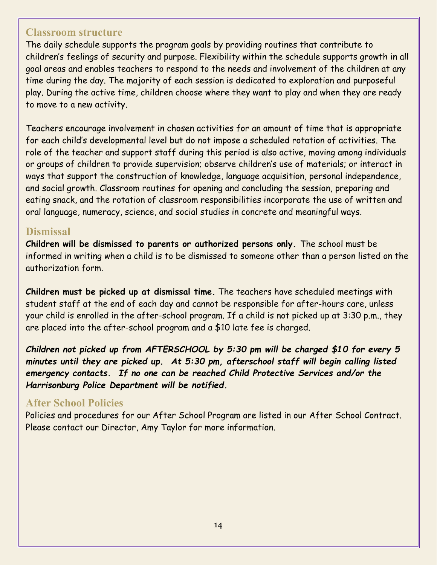#### <span id="page-13-0"></span>**Classroom structure**

The daily schedule supports the program goals by providing routines that contribute to children's feelings of security and purpose. Flexibility within the schedule supports growth in all goal areas and enables teachers to respond to the needs and involvement of the children at any time during the day. The majority of each session is dedicated to exploration and purposeful play. During the active time, children choose where they want to play and when they are ready to move to a new activity.

Teachers encourage involvement in chosen activities for an amount of time that is appropriate for each child's developmental level but do not impose a scheduled rotation of activities. The role of the teacher and support staff during this period is also active, moving among individuals or groups of children to provide supervision; observe children's use of materials; or interact in ways that support the construction of knowledge, language acquisition, personal independence, and social growth. Classroom routines for opening and concluding the session, preparing and eating snack, and the rotation of classroom responsibilities incorporate the use of written and oral language, numeracy, science, and social studies in concrete and meaningful ways.

#### <span id="page-13-1"></span>**Dismissal**

**Children will be dismissed to parents or authorized persons only.** The school must be informed in writing when a child is to be dismissed to someone other than a person listed on the authorization form.

**Children must be picked up at dismissal time.** The teachers have scheduled meetings with student staff at the end of each day and cannot be responsible for after-hours care, unless your child is enrolled in the after-school program. If a child is not picked up at 3:30 p.m., they are placed into the after-school program and a \$10 late fee is charged.

*Children not picked up from AFTERSCHOOL by 5:30 pm will be charged \$10 for every 5 minutes until they are picked up. At 5:30 pm, afterschool staff will begin calling listed emergency contacts. If no one can be reached Child Protective Services and/or the Harrisonburg Police Department will be notified.*

#### <span id="page-13-2"></span>**After School Policies**

Policies and procedures for our After School Program are listed in our After School Contract. Please contact our Director, Amy Taylor for more information.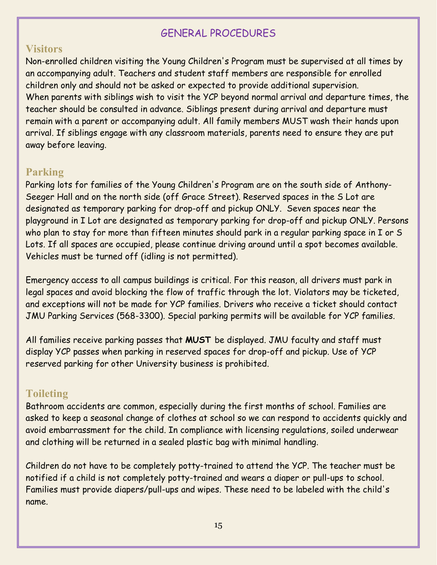# GENERAL PROCEDURES

#### <span id="page-14-1"></span><span id="page-14-0"></span>**Visitors**

Non-enrolled children visiting the Young Children's Program must be supervised at all times by an accompanying adult. Teachers and student staff members are responsible for enrolled children only and should not be asked or expected to provide additional supervision. When parents with siblings wish to visit the YCP beyond normal arrival and departure times, the teacher should be consulted in advance. Siblings present during arrival and departure must remain with a parent or accompanying adult. All family members MUST wash their hands upon arrival. If siblings engage with any classroom materials, parents need to ensure they are put away before leaving.

#### <span id="page-14-2"></span>**Parking**

Parking lots for families of the Young Children's Program are on the south side of Anthony-Seeger Hall and on the north side (off Grace Street). Reserved spaces in the S Lot are designated as temporary parking for drop-off and pickup ONLY. Seven spaces near the playground in I Lot are designated as temporary parking for drop-off and pickup ONLY. Persons who plan to stay for more than fifteen minutes should park in a regular parking space in I or S Lots. If all spaces are occupied, please continue driving around until a spot becomes available. Vehicles must be turned off (idling is not permitted).

Emergency access to all campus buildings is critical. For this reason, all drivers must park in legal spaces and avoid blocking the flow of traffic through the lot. Violators may be ticketed, and exceptions will not be made for YCP families. Drivers who receive a ticket should contact JMU Parking Services (568-3300). Special parking permits will be available for YCP families.

All families receive parking passes that **MUST** be displayed. JMU faculty and staff must display YCP passes when parking in reserved spaces for drop-off and pickup. Use of YCP reserved parking for other University business is prohibited.

# <span id="page-14-3"></span>**Toileting**

Bathroom accidents are common, especially during the first months of school. Families are asked to keep a seasonal change of clothes at school so we can respond to accidents quickly and avoid embarrassment for the child. In compliance with licensing regulations, soiled underwear and clothing will be returned in a sealed plastic bag with minimal handling.

Children do not have to be completely potty-trained to attend the YCP. The teacher must be notified if a child is not completely potty-trained and wears a diaper or pull-ups to school. Families must provide diapers/pull-ups and wipes. These need to be labeled with the child's name.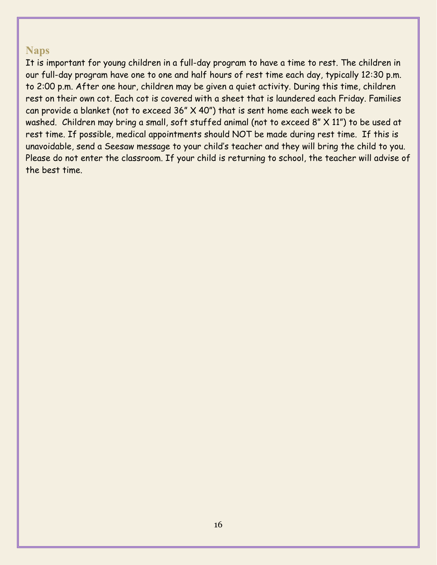#### <span id="page-15-0"></span>**Naps**

It is important for young children in a full-day program to have a time to rest. The children in our full-day program have one to one and half hours of rest time each day, typically 12:30 p.m. to 2:00 p.m. After one hour, children may be given a quiet activity. During this time, children rest on their own cot. Each cot is covered with a sheet that is laundered each Friday. Families can provide a blanket (not to exceed 36" X 40") that is sent home each week to be washed. Children may bring a small, soft stuffed animal (not to exceed 8" X 11") to be used at rest time. If possible, medical appointments should NOT be made during rest time. If this is unavoidable, send a Seesaw message to your child's teacher and they will bring the child to you. Please do not enter the classroom. If your child is returning to school, the teacher will advise of the best time.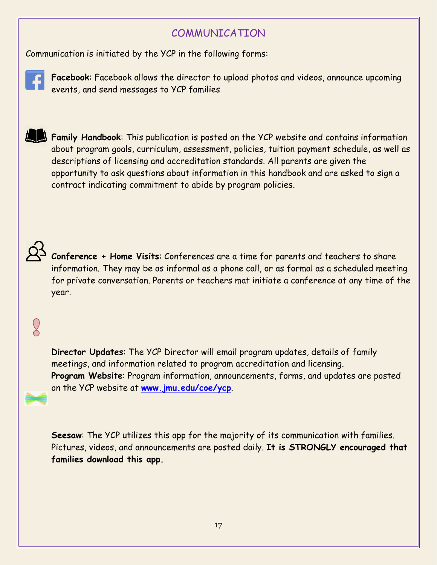#### COMMUNICATION

<span id="page-16-0"></span>Communication is initiated by the YCP in the following forms:



**Facebook**: Facebook allows the director to upload photos and videos, announce upcoming events, and send messages to YCP families

**Family Handbook**: This publication is posted on the YCP website and contains information about program goals, curriculum, assessment, policies, tuition payment schedule, as well as descriptions of licensing and accreditation standards. All parents are given the opportunity to ask questions about information in this handbook and are asked to sign a contract indicating commitment to abide by program policies.



**Conference + Home Visits**: Conferences are a time for parents and teachers to share information. They may be as informal as a phone call, or as formal as a scheduled meeting for private conversation. Parents or teachers mat initiate a conference at any time of the year.

# $\overline{Q}$

**Director Updates**: The YCP Director will email program updates, details of family meetings, and information related to program accreditation and licensing. **Program Website**: Program information, announcements, forms, and updates are posted on the YCP website at **[www.jmu.edu/coe/ycp](http://www.jmu.edu/coe/ycp)**.

**Seesaw**: The YCP utilizes this app for the majority of its communication with families. Pictures, videos, and announcements are posted daily. **It is STRONGLY encouraged that families download this app.**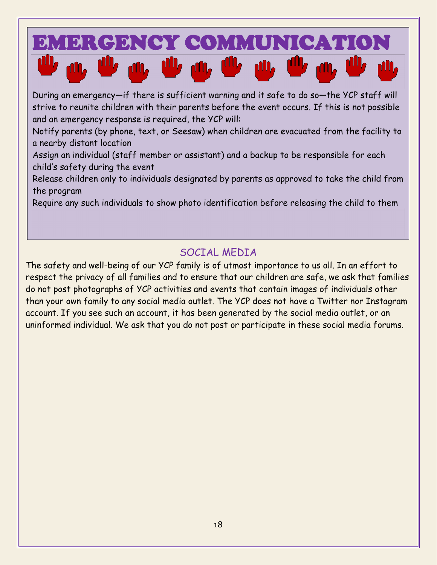

During an emergency—if there is sufficient warning and it safe to do so—the YCP staff will strive to reunite children with their parents before the event occurs. If this is not possible and an emergency response is required, the YCP will:

Notify parents (by phone, text, or Seesaw) when children are evacuated from the facility to a nearby distant location

Assign an individual (staff member or assistant) and a backup to be responsible for each child's safety during the event

Release children only to individuals designated by parents as approved to take the child from the program

Require any such individuals to show photo identification before releasing the child to them

# SOCIAL MEDIA

<span id="page-17-0"></span>The safety and well-being of our YCP family is of utmost importance to us all. In an effort to respect the privacy of all families and to ensure that our children are safe, we ask that families do not post photographs of YCP activities and events that contain images of individuals other than your own family to any social media outlet. The YCP does not have a Twitter nor Instagram account. If you see such an account, it has been generated by the social media outlet, or an uninformed individual. We ask that you do not post or participate in these social media forums.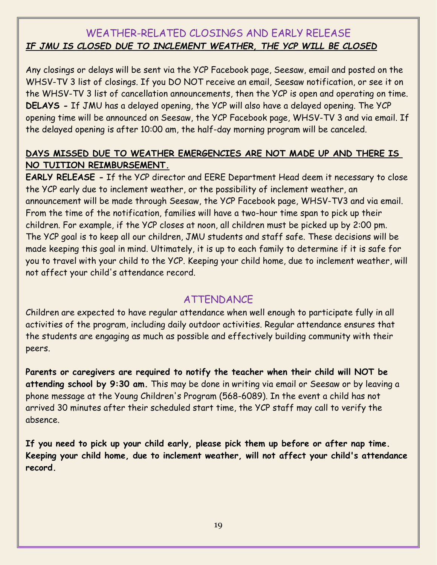### <span id="page-18-0"></span>WEATHER-RELATED CLOSINGS AND EARLY RELEASE *IF JMU IS CLOSED DUE TO INCLEMENT WEATHER, THE YCP WILL BE CLOSED*

Any closings or delays will be sent via the YCP Facebook page, Seesaw, email and posted on the WHSV-TV 3 list of closings. If you DO NOT receive an email, Seesaw notification, or see it on the WHSV-TV 3 list of cancellation announcements, then the YCP is open and operating on time. **DELAYS -** If JMU has a delayed opening, the YCP will also have a delayed opening. The YCP opening time will be announced on Seesaw, the YCP Facebook page, WHSV-TV 3 and via email. If the delayed opening is after 10:00 am, the half-day morning program will be canceled.

#### **DAYS MISSED DUE TO WEATHER EMERGENCIES ARE NOT MADE UP AND THERE IS NO TUITION REIMBURSEMENT.**

**EARLY RELEASE -** If the YCP director and EERE Department Head deem it necessary to close the YCP early due to inclement weather, or the possibility of inclement weather, an announcement will be made through Seesaw, the YCP Facebook page, WHSV-TV3 and via email. From the time of the notification, families will have a two-hour time span to pick up their children. For example, if the YCP closes at noon, all children must be picked up by 2:00 pm. The YCP goal is to keep all our children, JMU students and staff safe. These decisions will be made keeping this goal in mind. Ultimately, it is up to each family to determine if it is safe for you to travel with your child to the YCP. Keeping your child home, due to inclement weather, will not affect your child's attendance record.

# ATTENDANCE

<span id="page-18-1"></span>Children are expected to have regular attendance when well enough to participate fully in all activities of the program, including daily outdoor activities. Regular attendance ensures that the students are engaging as much as possible and effectively building community with their peers.

**Parents or caregivers are required to notify the teacher when their child will NOT be attending school by 9:30 am.** This may be done in writing via email or Seesaw or by leaving a phone message at the Young Children's Program (568-6089). In the event a child has not arrived 30 minutes after their scheduled start time, the YCP staff may call to verify the absence.

**If you need to pick up your child early, please pick them up before or after nap time. Keeping your child home, due to inclement weather, will not affect your child's attendance record.**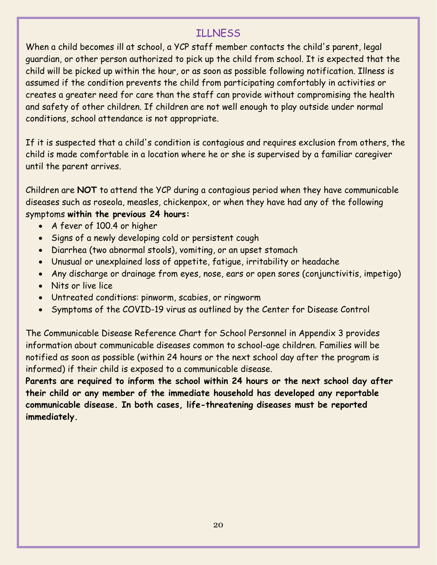# ILLNESS

<span id="page-19-0"></span>When a child becomes ill at school, a YCP staff member contacts the child's parent, legal guardian, or other person authorized to pick up the child from school. It is expected that the child will be picked up within the hour, or as soon as possible following notification. Illness is assumed if the condition prevents the child from participating comfortably in activities or creates a greater need for care than the staff can provide without compromising the health and safety of other children. If children are not well enough to play outside under normal conditions, school attendance is not appropriate.

If it is suspected that a child's condition is contagious and requires exclusion from others, the child is made comfortable in a location where he or she is supervised by a familiar caregiver until the parent arrives.

Children are **NOT** to attend the YCP during a contagious period when they have communicable diseases such as roseola, measles, chickenpox, or when they have had any of the following symptoms **within the previous 24 hours:**

- A fever of 100.4 or higher
- Signs of a newly developing cold or persistent cough
- Diarrhea (two abnormal stools), vomiting, or an upset stomach
- Unusual or unexplained loss of appetite, fatigue, irritability or headache
- Any discharge or drainage from eyes, nose, ears or open sores (conjunctivitis, impetigo)
- Nits or live lice
- Untreated conditions: pinworm, scabies, or ringworm
- Symptoms of the COVID-19 virus as outlined by the Center for Disease Control

The Communicable Disease Reference Chart for School Personnel in Appendix 3 provides information about communicable diseases common to school-age children. Families will be notified as soon as possible (within 24 hours or the next school day after the program is informed) if their child is exposed to a communicable disease.

**Parents are required to inform the school within 24 hours or the next school day after their child or any member of the immediate household has developed any reportable communicable disease. In both cases, life-threatening diseases must be reported immediately.**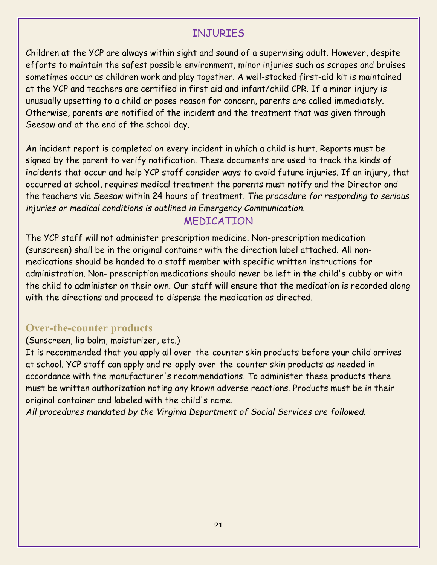# INJURIES

<span id="page-20-0"></span>Children at the YCP are always within sight and sound of a supervising adult. However, despite efforts to maintain the safest possible environment, minor injuries such as scrapes and bruises sometimes occur as children work and play together. A well-stocked first-aid kit is maintained at the YCP and teachers are certified in first aid and infant/child CPR. If a minor injury is unusually upsetting to a child or poses reason for concern, parents are called immediately. Otherwise, parents are notified of the incident and the treatment that was given through Seesaw and at the end of the school day.

An incident report is completed on every incident in which a child is hurt. Reports must be signed by the parent to verify notification. These documents are used to track the kinds of incidents that occur and help YCP staff consider ways to avoid future injuries. If an injury, that occurred at school, requires medical treatment the parents must notify and the Director and the teachers via Seesaw within 24 hours of treatment. *The procedure for responding to serious injuries or medical conditions is outlined in Emergency Communication.*

# MEDICATION

<span id="page-20-1"></span>The YCP staff will not administer prescription medicine. Non-prescription medication (sunscreen) shall be in the original container with the direction label attached. All nonmedications should be handed to a staff member with specific written instructions for administration. Non- prescription medications should never be left in the child's cubby or with the child to administer on their own. Our staff will ensure that the medication is recorded along with the directions and proceed to dispense the medication as directed.

#### <span id="page-20-2"></span>**Over-the-counter products**

#### (Sunscreen, lip balm, moisturizer, etc.)

It is recommended that you apply all over-the-counter skin products before your child arrives at school. YCP staff can apply and re-apply over-the-counter skin products as needed in accordance with the manufacturer's recommendations. To administer these products there must be written authorization noting any known adverse reactions. Products must be in their original container and labeled with the child's name.

*All procedures mandated by the Virginia Department of Social Services are followed.*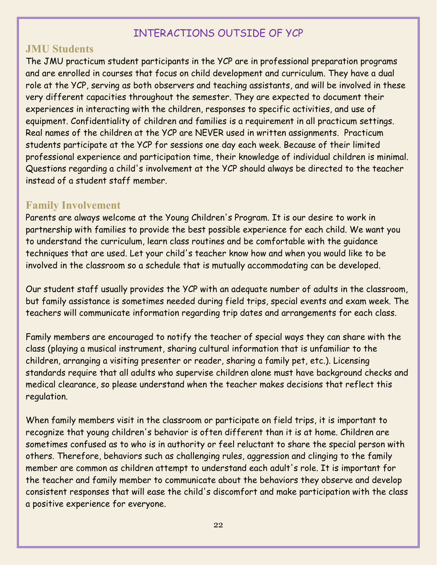### INTERACTIONS OUTSIDE OF YCP

#### <span id="page-21-1"></span><span id="page-21-0"></span>**JMU Students**

The JMU practicum student participants in the YCP are in professional preparation programs and are enrolled in courses that focus on child development and curriculum. They have a dual role at the YCP, serving as both observers and teaching assistants, and will be involved in these very different capacities throughout the semester. They are expected to document their experiences in interacting with the children, responses to specific activities, and use of equipment. Confidentiality of children and families is a requirement in all practicum settings. Real names of the children at the YCP are NEVER used in written assignments. Practicum students participate at the YCP for sessions one day each week. Because of their limited professional experience and participation time, their knowledge of individual children is minimal. Questions regarding a child's involvement at the YCP should always be directed to the teacher instead of a student staff member.

### <span id="page-21-2"></span>**Family Involvement**

Parents are always welcome at the Young Children's Program. It is our desire to work in partnership with families to provide the best possible experience for each child. We want you to understand the curriculum, learn class routines and be comfortable with the guidance techniques that are used. Let your child's teacher know how and when you would like to be involved in the classroom so a schedule that is mutually accommodating can be developed.

Our student staff usually provides the YCP with an adequate number of adults in the classroom, but family assistance is sometimes needed during field trips, special events and exam week. The teachers will communicate information regarding trip dates and arrangements for each class.

Family members are encouraged to notify the teacher of special ways they can share with the class (playing a musical instrument, sharing cultural information that is unfamiliar to the children, arranging a visiting presenter or reader, sharing a family pet, etc.). Licensing standards require that all adults who supervise children alone must have background checks and medical clearance, so please understand when the teacher makes decisions that reflect this regulation.

When family members visit in the classroom or participate on field trips, it is important to recognize that young children's behavior is often different than it is at home. Children are sometimes confused as to who is in authority or feel reluctant to share the special person with others. Therefore, behaviors such as challenging rules, aggression and clinging to the family member are common as children attempt to understand each adult's role. It is important for the teacher and family member to communicate about the behaviors they observe and develop consistent responses that will ease the child's discomfort and make participation with the class a positive experience for everyone.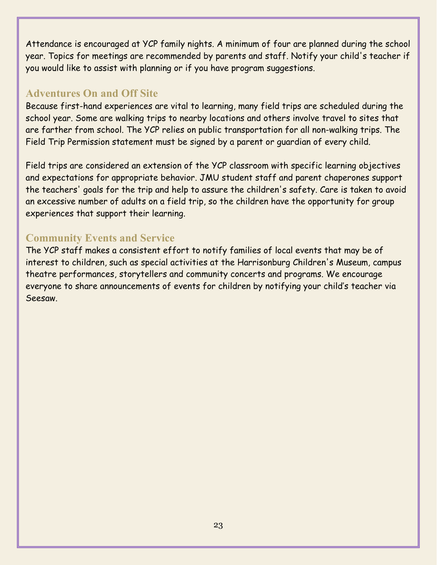Attendance is encouraged at YCP family nights. A minimum of four are planned during the school year. Topics for meetings are recommended by parents and staff. Notify your child's teacher if you would like to assist with planning or if you have program suggestions.

#### <span id="page-22-0"></span>**Adventures On and Off Site**

Because first-hand experiences are vital to learning, many field trips are scheduled during the school year. Some are walking trips to nearby locations and others involve travel to sites that are farther from school. The YCP relies on public transportation for all non-walking trips. The Field Trip Permission statement must be signed by a parent or guardian of every child.

Field trips are considered an extension of the YCP classroom with specific learning objectives and expectations for appropriate behavior. JMU student staff and parent chaperones support the teachers' goals for the trip and help to assure the children's safety. Care is taken to avoid an excessive number of adults on a field trip, so the children have the opportunity for group experiences that support their learning.

# <span id="page-22-1"></span>**Community Events and Service**

The YCP staff makes a consistent effort to notify families of local events that may be of interest to children, such as special activities at the Harrisonburg Children's Museum, campus theatre performances, storytellers and community concerts and programs. We encourage everyone to share announcements of events for children by notifying your child's teacher via Seesaw.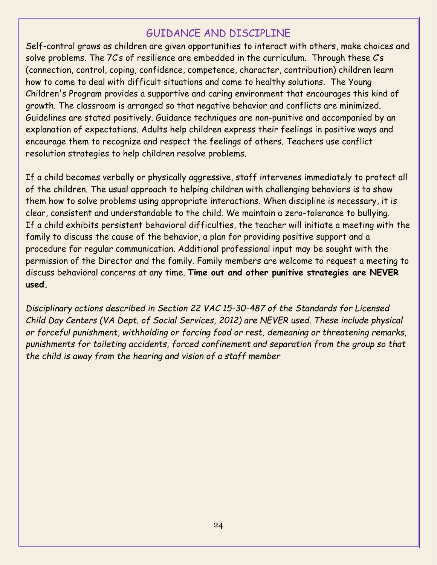#### GUIDANCE AND DISCIPLINE

<span id="page-23-0"></span>Self-control grows as children are given opportunities to interact with others, make choices and solve problems. The 7C's of resilience are embedded in the curriculum. Through these C's (connection, control, coping, confidence, competence, character, contribution) children learn how to come to deal with difficult situations and come to healthy solutions. The Young Children's Program provides a supportive and caring environment that encourages this kind of growth. The classroom is arranged so that negative behavior and conflicts are minimized. Guidelines are stated positively. Guidance techniques are non-punitive and accompanied by an explanation of expectations. Adults help children express their feelings in positive ways and encourage them to recognize and respect the feelings of others. Teachers use conflict resolution strategies to help children resolve problems.

If a child becomes verbally or physically aggressive, staff intervenes immediately to protect all of the children. The usual approach to helping children with challenging behaviors is to show them how to solve problems using appropriate interactions. When discipline is necessary, it is clear, consistent and understandable to the child. We maintain a zero-tolerance to bullying. If a child exhibits persistent behavioral difficulties, the teacher will initiate a meeting with the family to discuss the cause of the behavior, a plan for providing positive support and a procedure for regular communication. Additional professional input may be sought with the permission of the Director and the family. Family members are welcome to request a meeting to discuss behavioral concerns at any time. **Time out and other punitive strategies are NEVER used.**

*Disciplinary actions described in Section 22 VAC 15-30-487 of the Standards for Licensed Child Day Centers (VA Dept. of Social Services, 2012) are NEVER used. These include physical or forceful punishment, withholding or forcing food or rest, demeaning or threatening remarks, punishments for toileting accidents, forced confinement and separation from the group so that the child is away from the hearing and vision of a staff member*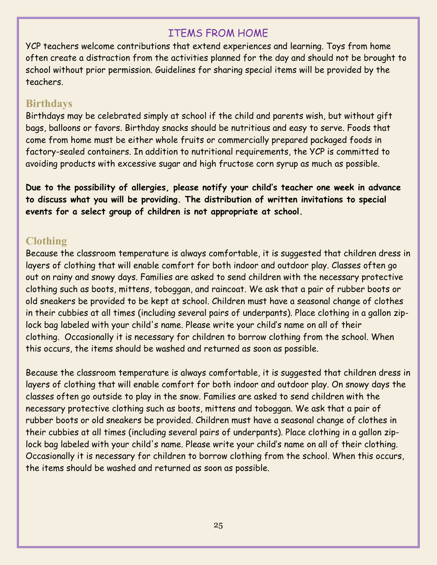### ITEMS FROM HOME

<span id="page-24-0"></span>YCP teachers welcome contributions that extend experiences and learning. Toys from home often create a distraction from the activities planned for the day and should not be brought to school without prior permission. Guidelines for sharing special items will be provided by the teachers.

#### <span id="page-24-1"></span>**Birthdays**

Birthdays may be celebrated simply at school if the child and parents wish, but without gift bags, balloons or favors. Birthday snacks should be nutritious and easy to serve. Foods that come from home must be either whole fruits or commercially prepared packaged foods in factory-sealed containers. In addition to nutritional requirements, the YCP is committed to avoiding products with excessive sugar and high fructose corn syrup as much as possible.

**Due to the possibility of allergies, please notify your child's teacher one week in advance to discuss what you will be providing. The distribution of written invitations to special events for a select group of children is not appropriate at school.**

# <span id="page-24-2"></span>**Clothing**

Because the classroom temperature is always comfortable, it is suggested that children dress in layers of clothing that will enable comfort for both indoor and outdoor play. Classes often go out on rainy and snowy days. Families are asked to send children with the necessary protective clothing such as boots, mittens, toboggan, and raincoat. We ask that a pair of rubber boots or old sneakers be provided to be kept at school. Children must have a seasonal change of clothes in their cubbies at all times (including several pairs of underpants). Place clothing in a gallon ziplock bag labeled with your child's name. Please write your child's name on all of their clothing. Occasionally it is necessary for children to borrow clothing from the school. When this occurs, the items should be washed and returned as soon as possible.

Because the classroom temperature is always comfortable, it is suggested that children dress in layers of clothing that will enable comfort for both indoor and outdoor play. On snowy days the classes often go outside to play in the snow. Families are asked to send children with the necessary protective clothing such as boots, mittens and toboggan. We ask that a pair of rubber boots or old sneakers be provided. Children must have a seasonal change of clothes in their cubbies at all times (including several pairs of underpants). Place clothing in a gallon ziplock bag labeled with your child's name. Please write your child's name on all of their clothing. Occasionally it is necessary for children to borrow clothing from the school. When this occurs, the items should be washed and returned as soon as possible.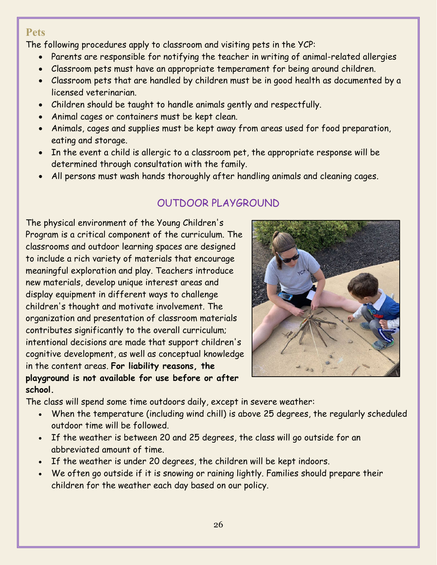#### <span id="page-25-0"></span>**Pets**

The following procedures apply to classroom and visiting pets in the YCP:

- Parents are responsible for notifying the teacher in writing of animal-related allergies
- Classroom pets must have an appropriate temperament for being around children.
- Classroom pets that are handled by children must be in good health as documented by a licensed veterinarian.
- Children should be taught to handle animals gently and respectfully.
- Animal cages or containers must be kept clean.
- Animals, cages and supplies must be kept away from areas used for food preparation, eating and storage.
- In the event a child is allergic to a classroom pet, the appropriate response will be determined through consultation with the family.
- All persons must wash hands thoroughly after handling animals and cleaning cages.

# OUTDOOR PLAYGROUND

<span id="page-25-1"></span>The physical environment of the Young Children's Program is a critical component of the curriculum. The classrooms and outdoor learning spaces are designed to include a rich variety of materials that encourage meaningful exploration and play. Teachers introduce new materials, develop unique interest areas and display equipment in different ways to challenge children's thought and motivate involvement. The organization and presentation of classroom materials contributes significantly to the overall curriculum; intentional decisions are made that support children's cognitive development, as well as conceptual knowledge in the content areas. **For liability reasons, the playground is not available for use before or after school.**



The class will spend some time outdoors daily, except in severe weather:

- When the temperature (including wind chill) is above 25 degrees, the regularly scheduled outdoor time will be followed.
- If the weather is between 20 and 25 degrees, the class will go outside for an abbreviated amount of time.
- If the weather is under 20 degrees, the children will be kept indoors.
- We often go outside if it is snowing or raining lightly. Families should prepare their children for the weather each day based on our policy.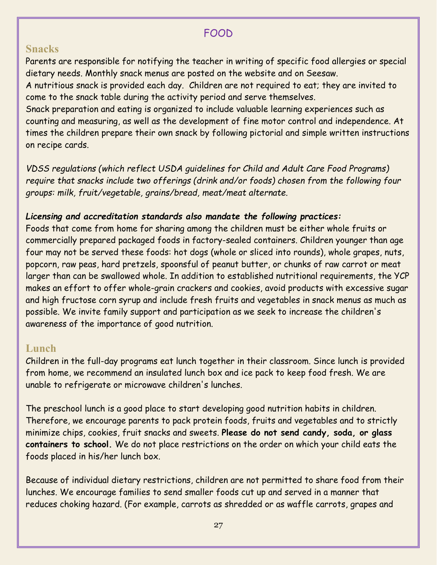#### FOOD

#### <span id="page-26-1"></span><span id="page-26-0"></span>**Snacks**

Parents are responsible for notifying the teacher in writing of specific food allergies or special dietary needs. Monthly snack menus are posted on the website and on Seesaw.

A nutritious snack is provided each day. Children are not required to eat; they are invited to come to the snack table during the activity period and serve themselves.

Snack preparation and eating is organized to include valuable learning experiences such as counting and measuring, as well as the development of fine motor control and independence. At times the children prepare their own snack by following pictorial and simple written instructions on recipe cards.

*VDSS regulations (which reflect USDA guidelines for Child and Adult Care Food Programs) require that snacks include two offerings (drink and/or foods) chosen from the following four groups: milk, fruit/vegetable, grains/bread, meat/meat alternate.*

#### *Licensing and accreditation standards also mandate the following practices:*

Foods that come from home for sharing among the children must be either whole fruits or commercially prepared packaged foods in factory-sealed containers. Children younger than age four may not be served these foods: hot dogs (whole or sliced into rounds), whole grapes, nuts, popcorn, raw peas, hard pretzels, spoonsful of peanut butter, or chunks of raw carrot or meat larger than can be swallowed whole. In addition to established nutritional requirements, the YCP makes an effort to offer whole-grain crackers and cookies, avoid products with excessive sugar and high fructose corn syrup and include fresh fruits and vegetables in snack menus as much as possible. We invite family support and participation as we seek to increase the children's awareness of the importance of good nutrition.

# <span id="page-26-2"></span>**Lunch**

Children in the full-day programs eat lunch together in their classroom. Since lunch is provided from home, we recommend an insulated lunch box and ice pack to keep food fresh. We are unable to refrigerate or microwave children's lunches.

The preschool lunch is a good place to start developing good nutrition habits in children. Therefore, we encourage parents to pack protein foods, fruits and vegetables and to strictly minimize chips, cookies, fruit snacks and sweets. **Please do not send candy, soda, or glass containers to school.** We do not place restrictions on the order on which your child eats the foods placed in his/her lunch box.

Because of individual dietary restrictions, children are not permitted to share food from their lunches. We encourage families to send smaller foods cut up and served in a manner that reduces choking hazard. (For example, carrots as shredded or as waffle carrots, grapes and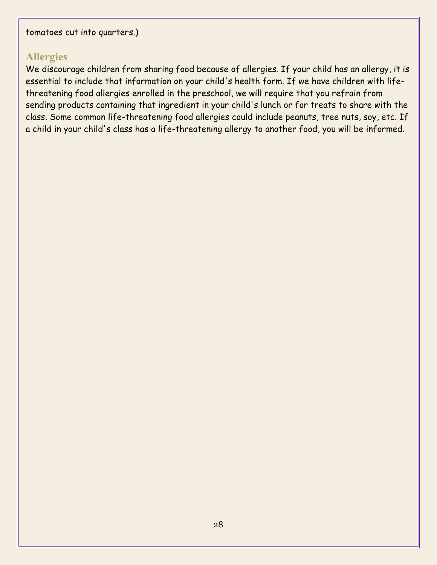# <span id="page-27-0"></span>**Allergies**

We discourage children from sharing food because of allergies. If your child has an allergy, it is essential to include that information on your child's health form. If we have children with lifethreatening food allergies enrolled in the preschool, we will require that you refrain from sending products containing that ingredient in your child's lunch or for treats to share with the class. Some common life-threatening food allergies could include peanuts, tree nuts, soy, etc. If a child in your child's class has a life-threatening allergy to another food, you will be informed.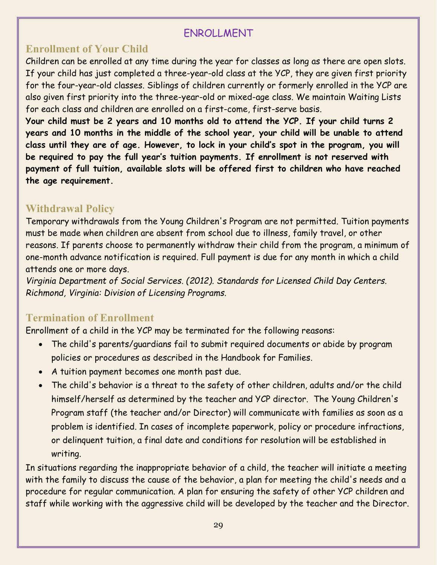# ENROLLMENT

### <span id="page-28-1"></span><span id="page-28-0"></span>**Enrollment of Your Child**

Children can be enrolled at any time during the year for classes as long as there are open slots. If your child has just completed a three-year-old class at the YCP, they are given first priority for the four-year-old classes. Siblings of children currently or formerly enrolled in the YCP are also given first priority into the three-year-old or mixed-age class. We maintain Waiting Lists for each class and children are enrolled on a first-come, first-serve basis.

**Your child must be 2 years and 10 months old to attend the YCP. If your child turns 2 years and 10 months in the middle of the school year, your child will be unable to attend class until they are of age. However, to lock in your child's spot in the program, you will be required to pay the full year's tuition payments. If enrollment is not reserved with payment of full tuition, available slots will be offered first to children who have reached the age requirement.**

#### <span id="page-28-2"></span>**Withdrawal Policy**

Temporary withdrawals from the Young Children's Program are not permitted. Tuition payments must be made when children are absent from school due to illness, family travel, or other reasons. If parents choose to permanently withdraw their child from the program, a minimum of one-month advance notification is required. Full payment is due for any month in which a child attends one or more days.

*Virginia Department of Social Services. (2012). Standards for Licensed Child Day Centers. Richmond, Virginia: Division of Licensing Programs.* 

#### <span id="page-28-3"></span>**Termination of Enrollment**

Enrollment of a child in the YCP may be terminated for the following reasons:

- The child's parents/guardians fail to submit required documents or abide by program policies or procedures as described in the Handbook for Families.
- A tuition payment becomes one month past due.
- The child's behavior is a threat to the safety of other children, adults and/or the child himself/herself as determined by the teacher and YCP director. The Young Children's Program staff (the teacher and/or Director) will communicate with families as soon as a problem is identified. In cases of incomplete paperwork, policy or procedure infractions, or delinquent tuition, a final date and conditions for resolution will be established in writing.

In situations regarding the inappropriate behavior of a child, the teacher will initiate a meeting with the family to discuss the cause of the behavior, a plan for meeting the child's needs and a procedure for regular communication. A plan for ensuring the safety of other YCP children and staff while working with the aggressive child will be developed by the teacher and the Director.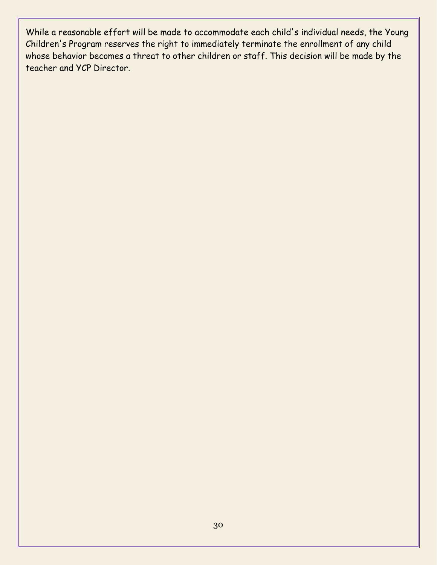While a reasonable effort will be made to accommodate each child's individual needs, the Young Children's Program reserves the right to immediately terminate the enrollment of any child whose behavior becomes a threat to other children or staff. This decision will be made by the teacher and YCP Director.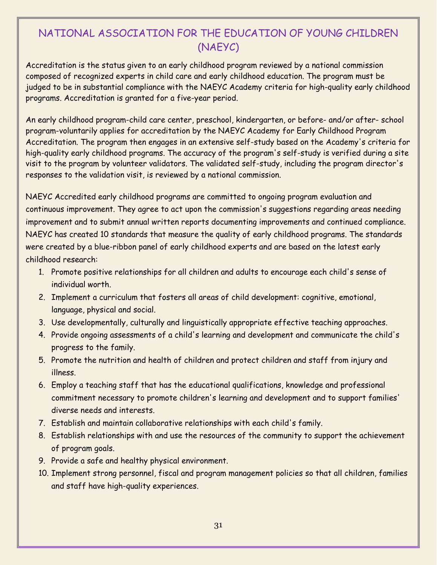# <span id="page-30-0"></span>NATIONAL ASSOCIATION FOR THE EDUCATION OF YOUNG CHILDREN (NAEYC)

Accreditation is the status given to an early childhood program reviewed by a national commission composed of recognized experts in child care and early childhood education. The program must be judged to be in substantial compliance with the NAEYC Academy criteria for high-quality early childhood programs. Accreditation is granted for a five-year period.

An early childhood program-child care center, preschool, kindergarten, or before- and/or after- school program-voluntarily applies for accreditation by the NAEYC Academy for Early Childhood Program Accreditation. The program then engages in an extensive self-study based on the Academy's criteria for high-quality early childhood programs. The accuracy of the program's self-study is verified during a site visit to the program by volunteer validators. The validated self-study, including the program director's responses to the validation visit, is reviewed by a national commission.

NAEYC Accredited early childhood programs are committed to ongoing program evaluation and continuous improvement. They agree to act upon the commission's suggestions regarding areas needing improvement and to submit annual written reports documenting improvements and continued compliance. NAEYC has created 10 standards that measure the quality of early childhood programs. The standards were created by a blue-ribbon panel of early childhood experts and are based on the latest early childhood research:

- 1. Promote positive relationships for all children and adults to encourage each child's sense of individual worth.
- 2. Implement a curriculum that fosters all areas of child development: cognitive, emotional, language, physical and social.
- 3. Use developmentally, culturally and linguistically appropriate effective teaching approaches.
- 4. Provide ongoing assessments of a child's learning and development and communicate the child's progress to the family.
- 5. Promote the nutrition and health of children and protect children and staff from injury and illness.
- 6. Employ a teaching staff that has the educational qualifications, knowledge and professional commitment necessary to promote children's learning and development and to support families' diverse needs and interests.
- 7. Establish and maintain collaborative relationships with each child's family.
- 8. Establish relationships with and use the resources of the community to support the achievement of program goals.
- 9. Provide a safe and healthy physical environment.
- 10. Implement strong personnel, fiscal and program management policies so that all children, families and staff have high-quality experiences.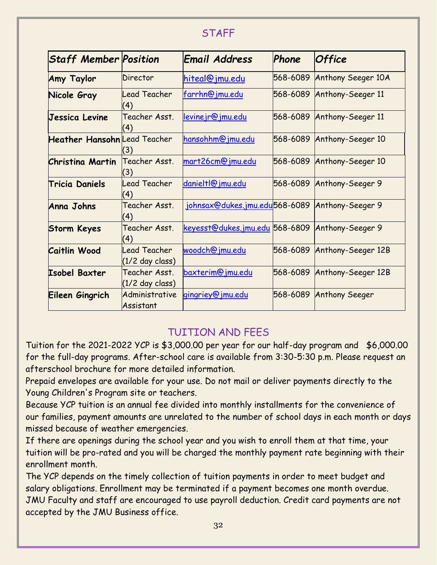#### STAFF

<span id="page-31-0"></span>

| <b>Staff Member Position</b>        |                                   | Email Address                                  | Phone    | <b>Office</b>              |
|-------------------------------------|-----------------------------------|------------------------------------------------|----------|----------------------------|
| <b>Amy Taylor</b>                   | Director                          | hiteal@jmu.edu                                 | 568-6089 | Anthony Seeger 10A         |
| Nicole Gray                         | <b>Lead Teacher</b><br>(4)        | farrhn@jmu.edu                                 |          | 568-6089 Anthony-Seeger 11 |
| Jessica Levine                      | Teacher Asst.<br>(4)              | <u>levinejr@jmu.edu</u>                        |          | 568-6089 Anthony-Seeger 11 |
| <b>Heather Hansohn</b> Lead Teacher | (3)                               | hansohhm@jmu.edu                               |          | 568-6089 Anthony-Seeger 10 |
| <b>Christina Martin</b>             | Teacher Asst.<br>(3)              | mart26cm@jmu.edu                               |          | 568-6089 Anthony-Seeger 10 |
| <b>Tricia Daniels</b>               | Lead Teacher<br>(4)               | danieltl@jmu.edu                               | 568-6089 | Anthony-Seeger 9           |
| Anna Johns                          | Teacher Asst.<br>(4)              | johnsax@dukes.jmu.edu568-6089 Anthony-Seeger 9 |          |                            |
| <b>Storm Keyes</b>                  | Teacher Asst.<br>(4)              | keyesst@dukes.jmu.edu 568-6809                 |          | Anthony-Seeger 9           |
| <b>Caitlin Wood</b>                 | Lead Teacher<br>$(1/2$ day class) | woodch@jmu.edu                                 | 568-6089 | Anthony-Seeger 12B         |
| <b>Isobel Baxter</b>                | Teacher Asst.<br>(1/2 day class)  | baxterim@jmu.edu                               | 568-6089 | Anthony-Seeger 12B         |
| Eileen Gingrich                     | Administrative<br>Assistant       | gingriey@jmu.edu                               | 568-6089 | <b>Anthony Seeger</b>      |

# TUITION AND FEES

<span id="page-31-1"></span>Tuition for the 2021-2022 YCP is \$3,000.00 per year for our half-day program and \$6,000.00 for the full-day programs. After-school care is available from 3:30-5:30 p.m. Please request an afterschool brochure for more detailed information.

Prepaid envelopes are available for your use. Do not mail or deliver payments directly to the Young Children's Program site or teachers.

Because YCP tuition is an annual fee divided into monthly installments for the convenience of our families, payment amounts are unrelated to the number of school days in each month or days missed because of weather emergencies.

If there are openings during the school year and you wish to enroll them at that time, your tuition will be pro-rated and you will be charged the monthly payment rate beginning with their enrollment month.

The YCP depends on the timely collection of tuition payments in order to meet budget and salary obligations. Enrollment may be terminated if a payment becomes one month overdue. JMU Faculty and staff are encouraged to use payroll deduction. Credit card payments are not accepted by the JMU Business office.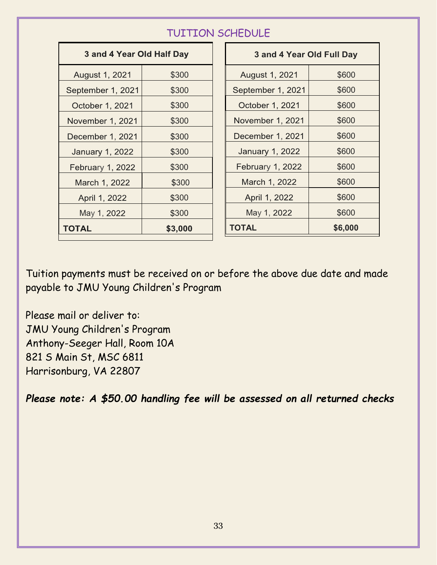# TUITION SCHEDULE

<span id="page-32-0"></span>

| 3 and 4 Year Old Half Day |         |                   | 3 and 4 Year Old Full Day |         |  |
|---------------------------|---------|-------------------|---------------------------|---------|--|
| August 1, 2021            | \$300   |                   | August 1, 2021            | \$600   |  |
| September 1, 2021         | \$300   | September 1, 2021 |                           | \$600   |  |
| October 1, 2021           | \$300   | October 1, 2021   |                           | \$600   |  |
| November 1, 2021          | \$300   | November 1, 2021  |                           | \$600   |  |
| December 1, 2021          | \$300   |                   | December 1, 2021          | \$600   |  |
| <b>January 1, 2022</b>    | \$300   |                   | <b>January 1, 2022</b>    | \$600   |  |
| February 1, 2022          | \$300   |                   | February 1, 2022          | \$600   |  |
| March 1, 2022             | \$300   |                   | March 1, 2022             | \$600   |  |
| April 1, 2022             | \$300   |                   | April 1, 2022             | \$600   |  |
| May 1, 2022               | \$300   |                   | May 1, 2022               | \$600   |  |
| <b>TOTAL</b>              | \$3,000 |                   | <b>TOTAL</b>              | \$6,000 |  |

Tuition payments must be received on or before the above due date and made payable to JMU Young Children's Program

Please mail or deliver to: JMU Young Children's Program Anthony-Seeger Hall, Room 10A 821 S Main St, MSC 6811 Harrisonburg, VA 22807

*Please note: A \$50.00 handling fee will be assessed on all returned checks*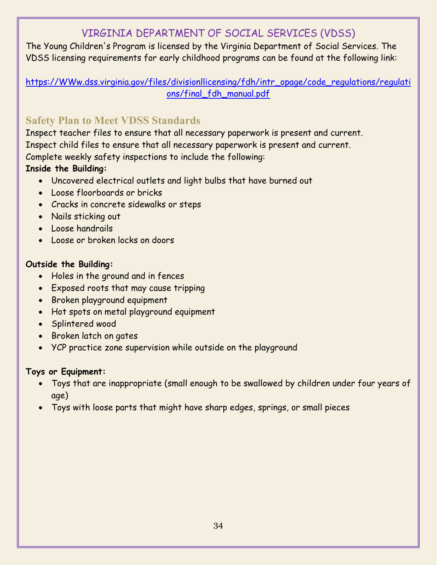# VIRGINIA DEPARTMENT OF SOCIAL SERVICES (VDSS)

<span id="page-33-0"></span>The Young Children's Program is licensed by the Virginia Department of Social Services. The VDSS licensing requirements for early childhood programs can be found at the following link:

[https://WWw.dss.virginia.gov/files/divisionllicensing/fdh/intr\\_opage/code\\_regulations/regulati](https://www.dss.virginia.gov/files/divisionllicensing/fdh/intr_opage/code_regulations/regulations/final_fdh_manual.pdf) [ons/final\\_fdh\\_manual.pdf](https://www.dss.virginia.gov/files/divisionllicensing/fdh/intr_opage/code_regulations/regulations/final_fdh_manual.pdf)

# <span id="page-33-1"></span>**Safety Plan to Meet VDSS Standards**

Inspect teacher files to ensure that all necessary paperwork is present and current. Inspect child files to ensure that all necessary paperwork is present and current. Complete weekly safety inspections to include the following:

#### **Inside the Building:**

- Uncovered electrical outlets and light bulbs that have burned out
- Loose floorboards or bricks
- Cracks in concrete sidewalks or steps
- Nails sticking out
- Loose handrails
- Loose or broken locks on doors

#### **Outside the Building:**

- Holes in the ground and in fences
- Exposed roots that may cause tripping
- Broken playground equipment
- Hot spots on metal playground equipment
- Splintered wood
- Broken latch on gates
- YCP practice zone supervision while outside on the playground

#### **Toys or Equipment:**

- Toys that are inappropriate (small enough to be swallowed by children under four years of age)
- Toys with loose parts that might have sharp edges, springs, or small pieces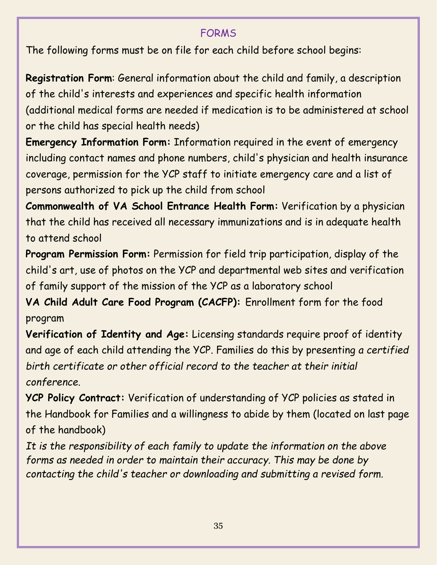# FORMS

<span id="page-34-0"></span>The following forms must be on file for each child before school begins:

**Registration Form**: General information about the child and family, a description of the child's interests and experiences and specific health information (additional medical forms are needed if medication is to be administered at school or the child has special health needs)

**Emergency Information Form:** Information required in the event of emergency including contact names and phone numbers, child's physician and health insurance coverage, permission for the YCP staff to initiate emergency care and a list of persons authorized to pick up the child from school

**Commonwealth of VA School Entrance Health Form:** Verification by a physician that the child has received all necessary immunizations and is in adequate health to attend school

**Program Permission Form:** Permission for field trip participation, display of the child's art, use of photos on the YCP and departmental web sites and verification of family support of the mission of the YCP as a laboratory school

**VA Child Adult Care Food Program (CACFP):** Enrollment form for the food program

**Verification of Identity and Age:** Licensing standards require proof of identity and age of each child attending the YCP. Families do this by presenting *a certified birth certificate or other official record to the teacher at their initial conference.*

**YCP Policy Contract:** Verification of understanding of YCP policies as stated in the Handbook for Families and a willingness to abide by them (located on last page of the handbook)

*It is the responsibility of each family to update the information on the above forms as needed in order to maintain their accuracy. This may be done by contacting the child's teacher or downloading and submitting a revised form.*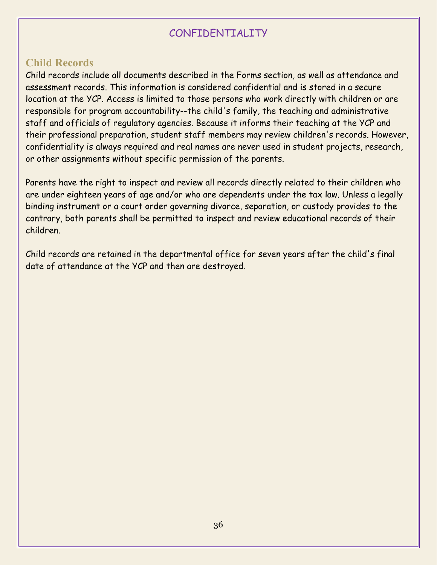# CONFIDENTIALITY

#### <span id="page-35-1"></span><span id="page-35-0"></span>**Child Records**

Child records include all documents described in the Forms section, as well as attendance and assessment records. This information is considered confidential and is stored in a secure location at the YCP. Access is limited to those persons who work directly with children or are responsible for program accountability--the child's family, the teaching and administrative staff and officials of regulatory agencies. Because it informs their teaching at the YCP and their professional preparation, student staff members may review children's records. However, confidentiality is always required and real names are never used in student projects, research, or other assignments without specific permission of the parents.

Parents have the right to inspect and review all records directly related to their children who are under eighteen years of age and/or who are dependents under the tax law. Unless a legally binding instrument or a court order governing divorce, separation, or custody provides to the contrary, both parents shall be permitted to inspect and review educational records of their children.

Child records are retained in the departmental office for seven years after the child's final date of attendance at the YCP and then are destroyed.